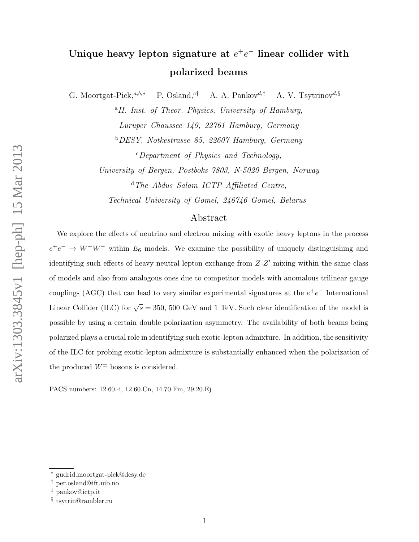# Unique heavy lepton signature at  $e^+e^-$  linear collider with polarized beams

G. Moortgat-Pick,<sup>a,b,\*</sup> P. Osland,<sup>c†</sup> A. A. Pankov<sup>d, $\ddagger$ </sup> A. V. Tsytrinov<sup>d,§</sup>

<sup>a</sup>II. Inst. of Theor. Physics, University of Hamburg, Luruper Chaussee 149, 22761 Hamburg, Germany <sup>b</sup>DESY, Notkestrasse 85, 22607 Hamburg, Germany  $c$ -Department of Physics and Technology,

University of Bergen, Postboks 7803, N-5020 Bergen, Norway <sup>d</sup>The Abdus Salam ICTP Affiliated Centre,

Technical University of Gomel, 246746 Gomel, Belarus

## Abstract

We explore the effects of neutrino and electron mixing with exotic heavy leptons in the process  $e^+e^- \rightarrow W^+W^-$  within  $E_6$  models. We examine the possibility of uniquely distinguishing and identifying such effects of heavy neutral lepton exchange from  $Z-Z'$  mixing within the same class of models and also from analogous ones due to competitor models with anomalous trilinear gauge couplings (AGC) that can lead to very similar experimental signatures at the  $e^+e^-$  International Linear Collider (ILC) for  $\sqrt{s} = 350, 500$  GeV and 1 TeV. Such clear identification of the model is possible by using a certain double polarization asymmetry. The availability of both beams being polarized plays a crucial role in identifying such exotic-lepton admixture. In addition, the sensitivity of the ILC for probing exotic-lepton admixture is substantially enhanced when the polarization of the produced  $W^{\pm}$  bosons is considered.

PACS numbers: 12.60.-i, 12.60.Cn, 14.70.Fm, 29.20.Ej

<sup>∗</sup> gudrid.moortgat-pick@desy.de

<sup>†</sup> per.osland@ift.uib.no

<sup>‡</sup> pankov@ictp.it

<sup>§</sup> tsytrin@rambler.ru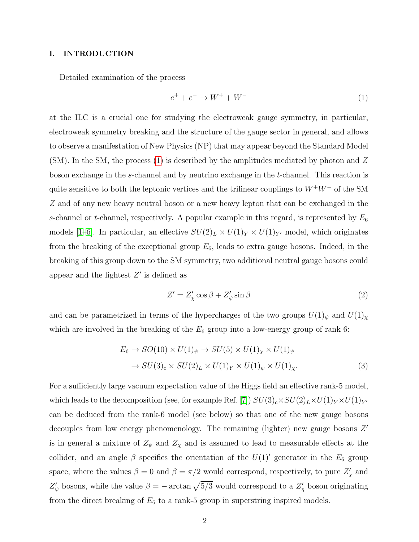#### I. INTRODUCTION

Detailed examination of the process

<span id="page-1-0"></span>
$$
e^+ + e^- \to W^+ + W^- \tag{1}
$$

at the ILC is a crucial one for studying the electroweak gauge symmetry, in particular, electroweak symmetry breaking and the structure of the gauge sector in general, and allows to observe a manifestation of New Physics (NP) that may appear beyond the Standard Model  $(SM)$ . In the SM, the process [\(1\)](#page-1-0) is described by the amplitudes mediated by photon and Z boson exchange in the s-channel and by neutrino exchange in the t-channel. This reaction is quite sensitive to both the leptonic vertices and the trilinear couplings to  $W^+W^-$  of the SM Z and of any new heavy neutral boson or a new heavy lepton that can be exchanged in the s-channel or t-channel, respectively. A popular example in this regard, is represented by  $E_6$ models [\[1–](#page-18-0)[6\]](#page-18-1). In particular, an effective  $SU(2)_L \times U(1)_Y \times U(1)_{Y'}$  model, which originates from the breaking of the exceptional group  $E_6$ , leads to extra gauge bosons. Indeed, in the breaking of this group down to the SM symmetry, two additional neutral gauge bosons could appear and the lightest  $Z'$  is defined as

$$
Z' = Z'_{\chi} \cos \beta + Z'_{\psi} \sin \beta \tag{2}
$$

and can be parametrized in terms of the hypercharges of the two groups  $U(1)_{\psi}$  and  $U(1)_{\chi}$ which are involved in the breaking of the  $E_6$  group into a low-energy group of rank 6:

$$
E_6 \to SO(10) \times U(1)_{\psi} \to SU(5) \times U(1)_{\chi} \times U(1)_{\psi}
$$
  

$$
\to SU(3)_c \times SU(2)_L \times U(1)_Y \times U(1)_{\psi} \times U(1)_{\chi}.
$$
 (3)

For a sufficiently large vacuum expectation value of the Higgs field an effective rank-5 model, which leads to the decomposition (see, for example Ref. [\[7\]](#page-18-2))  $SU(3)_c \times SU(2)_L \times U(1)_Y \times U(1)_{Y'}$ can be deduced from the rank-6 model (see below) so that one of the new gauge bosons decouples from low energy phenomenology. The remaining (lighter) new gauge bosons  $Z'$ is in general a mixture of  $Z_{\psi}$  and  $Z_{\chi}$  and is assumed to lead to measurable effects at the collider, and an angle  $\beta$  specifies the orientation of the  $U(1)$  generator in the  $E_6$  group space, where the values  $\beta = 0$  and  $\beta = \pi/2$  would correspond, respectively, to pure  $Z'_{\chi}$  and  $Z'_{\psi}$  bosons, while the value  $\beta = -\arctan \sqrt{5/3}$  would correspond to a  $Z'_{\eta}$  boson originating from the direct breaking of  $E_6$  to a rank-5 group in superstring inspired models.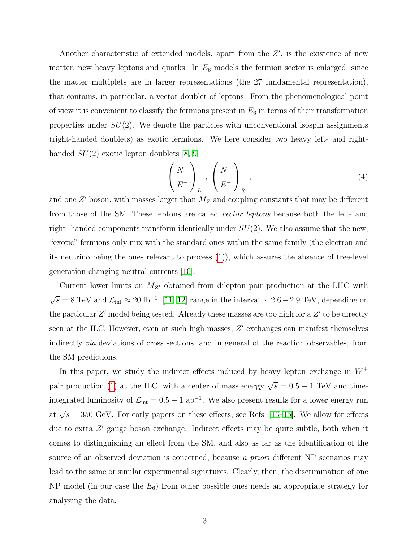Another characteristic of extended models, apart from the  $Z'$ , is the existence of new matter, new heavy leptons and quarks. In  $E_6$  models the fermion sector is enlarged, since the matter multiplets are in larger representations (the 27 fundamental representation), that contains, in particular, a vector doublet of leptons. From the phenomenological point of view it is convenient to classify the fermions present in  $E_6$  in terms of their transformation properties under  $SU(2)$ . We denote the particles with unconventional isospin assignments (right-handed doublets) as exotic fermions. We here consider two heavy left- and righthanded  $SU(2)$  exotic lepton doublets [\[8,](#page-18-3) [9\]](#page-18-4)

$$
\left(\begin{array}{c} N \\ E^- \end{array}\right)_L, \left(\begin{array}{c} N \\ E^- \end{array}\right)_R,
$$
\n(4)

and one  $Z'$  boson, with masses larger than  $M_Z$  and coupling constants that may be different from those of the SM. These leptons are called vector leptons because both the left- and right- handed components transform identically under  $SU(2)$ . We also assume that the new, "exotic" fermions only mix with the standard ones within the same family (the electron and its neutrino being the ones relevant to process [\(1\)](#page-1-0)), which assures the absence of tree-level generation-changing neutral currents [\[10\]](#page-18-5).

Current lower limits on  $M_{Z}$  obtained from dilepton pair production at the LHC with  $\sqrt{s} = 8 \text{ TeV}$  and  $\mathcal{L}_{\text{int}} \approx 20 \text{ fb}^{-1}$  [\[11,](#page-18-6) [12\]](#page-18-7) range in the interval  $\sim 2.6 - 2.9 \text{ TeV}$ , depending on the particular  $Z'$  model being tested. Already these masses are too high for a  $Z'$  to be directly seen at the ILC. However, even at such high masses,  $Z'$  exchanges can manifest themselves indirectly via deviations of cross sections, and in general of the reaction observables, from the SM predictions.

In this paper, we study the indirect effects induced by heavy lepton exchange in  $W^{\pm}$ pair production [\(1\)](#page-1-0) at the ILC, with a center of mass energy  $\sqrt{s} = 0.5 - 1$  TeV and timeintegrated luminosity of  $\mathcal{L}_{int} = 0.5 - 1$  ab<sup>-1</sup>. We also present results for a lower energy run at  $\sqrt{s}$  = 350 GeV. For early papers on these effects, see Refs. [\[13](#page-18-8)[–15\]](#page-18-9). We allow for effects due to extra Z' gauge boson exchange. Indirect effects may be quite subtle, both when it comes to distinguishing an effect from the SM, and also as far as the identification of the source of an observed deviation is concerned, because a priori different NP scenarios may lead to the same or similar experimental signatures. Clearly, then, the discrimination of one NP model (in our case the  $E_6$ ) from other possible ones needs an appropriate strategy for analyzing the data.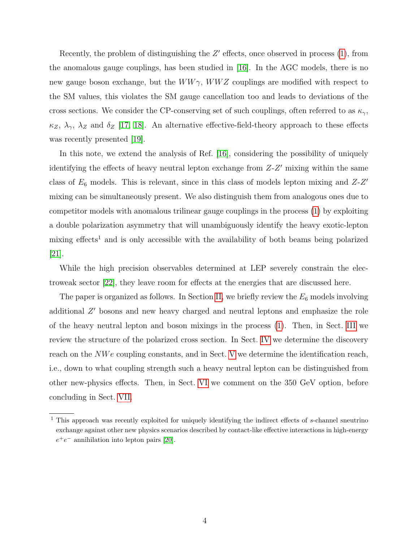Recently, the problem of distinguishing the  $Z'$  effects, once observed in process  $(1)$ , from the anomalous gauge couplings, has been studied in [\[16\]](#page-18-10). In the AGC models, there is no new gauge boson exchange, but the  $WW\gamma$ ,  $WWZ$  couplings are modified with respect to the SM values, this violates the SM gauge cancellation too and leads to deviations of the cross sections. We consider the CP-conserving set of such couplings, often referred to as  $\kappa_{\gamma}$ ,  $\kappa_Z$ ,  $\lambda_\gamma$ ,  $\lambda_Z$  and  $\delta_Z$  [\[17,](#page-18-11) [18\]](#page-19-0). An alternative effective-field-theory approach to these effects was recently presented [\[19\]](#page-19-1).

In this note, we extend the analysis of Ref. [\[16\]](#page-18-10), considering the possibility of uniquely identifying the effects of heavy neutral lepton exchange from  $Z-Z'$  mixing within the same class of  $E_6$  models. This is relevant, since in this class of models lepton mixing and  $Z-Z'$ mixing can be simultaneously present. We also distinguish them from analogous ones due to competitor models with anomalous trilinear gauge couplings in the process [\(1\)](#page-1-0) by exploiting a double polarization asymmetry that will unambiguously identify the heavy exotic-lepton mixing effects<sup>1</sup> and is only accessible with the availability of both beams being polarized [\[21\]](#page-19-2).

While the high precision observables determined at LEP severely constrain the electroweak sector [\[22\]](#page-19-3), they leave room for effects at the energies that are discussed here.

The paper is organized as follows. In Section [II,](#page-4-0) we briefly review the  $E_6$  models involving additional  $Z'$  bosons and new heavy charged and neutral leptons and emphasize the role of the heavy neutral lepton and boson mixings in the process [\(1\)](#page-1-0). Then, in Sect. [III](#page-7-0) we review the structure of the polarized cross section. In Sect. [IV](#page-8-0) we determine the discovery reach on the *NWe* coupling constants, and in Sect. [V](#page-14-0) we determine the identification reach, i.e., down to what coupling strength such a heavy neutral lepton can be distinguished from other new-physics effects. Then, in Sect. [VI](#page-16-0) we comment on the 350 GeV option, before concluding in Sect. [VII.](#page-17-0)

<sup>1</sup> This approach was recently exploited for uniquely identifying the indirect effects of s-channel sneutrino exchange against other new physics scenarios described by contact-like effective interactions in high-energy  $e^+e^-$  annihilation into lepton pairs [\[20\]](#page-19-4).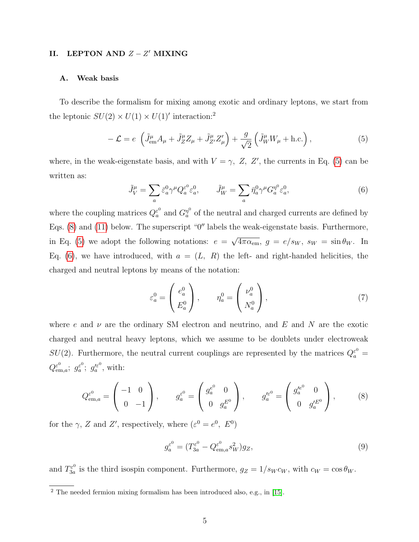## <span id="page-4-0"></span>II. LEPTON AND  $Z - Z'$  MIXING

#### A. Weak basis

To describe the formalism for mixing among exotic and ordinary leptons, we start from the leptonic  $SU(2) \times U(1) \times U(1)'$  interaction:<sup>2</sup>

<span id="page-4-1"></span>
$$
-\mathcal{L} = e \left( \tilde{J}_{em}^{\mu} A_{\mu} + \tilde{J}_{Z}^{\mu} Z_{\mu} + \tilde{J}_{Z'}^{\mu} Z_{\mu}' \right) + \frac{g}{\sqrt{2}} \left( \tilde{J}_{W}^{\mu} W_{\mu} + \text{h.c.} \right), \tag{5}
$$

where, in the weak-eigenstate basis, and with  $V = \gamma$ , Z, Z', the currents in Eq. [\(5\)](#page-4-1) can be written as:

<span id="page-4-3"></span>
$$
\tilde{J}_V^{\mu} = \sum_a \bar{\varepsilon}_a^0 \gamma^{\mu} Q_a^{\varepsilon^0} \varepsilon_a^0, \qquad \tilde{J}_W^{\mu} = \sum_a \bar{\eta}_a^0 \gamma^{\mu} G_a^{\eta^0} \varepsilon_a^0,\tag{6}
$$

where the coupling matrices  $Q_a^{\varepsilon^0}$  $\frac{\varepsilon^0}{a}$  and  $G_a^{\eta^0}$  $a^{\eta^0}$  of the neutral and charged currents are defined by Eqs.  $(8)$  and  $(11)$  below. The superscript "0" labels the weak-eigenstate basis. Furthermore, in Eq. [\(5\)](#page-4-1) we adopt the following notations:  $e =$ √  $\overline{4\pi\alpha_{\text{em}}},\ g = e/s_W,\ s_W = \sin\theta_W.$  In Eq. [\(6\)](#page-4-3), we have introduced, with  $a = (L, R)$  the left- and right-handed helicities, the charged and neutral leptons by means of the notation:

<span id="page-4-4"></span>
$$
\varepsilon_a^0 = \begin{pmatrix} e_a^0 \\ E_a^0 \end{pmatrix}, \qquad \eta_a^0 = \begin{pmatrix} \nu_a^0 \\ N_a^0 \end{pmatrix}, \tag{7}
$$

where e and  $\nu$  are the ordinary SM electron and neutrino, and E and N are the exotic charged and neutral heavy leptons, which we assume to be doublets under electroweak  $SU(2)$ . Furthermore, the neutral current couplings are represented by the matrices  $Q_a^{\varepsilon^0} =$  $Q_{\mathrm{em},a}^{\varepsilon^0};\;g_a^{\varepsilon^0}$  $a^{\varepsilon^0}$ ;  $g_a^{\prime \varepsilon^0}$  $a^{\prime \varepsilon^0}$ , with:

<span id="page-4-2"></span>
$$
Q_{\text{em},a}^{\varepsilon^{0}} = \begin{pmatrix} -1 & 0 \\ 0 & -1 \end{pmatrix}, \qquad g_{a}^{\varepsilon^{0}} = \begin{pmatrix} g_{a}^{e^{0}} & 0 \\ 0 & g_{a}^{E^{0}} \end{pmatrix}, \qquad g_{a}^{\prime \varepsilon^{0}} = \begin{pmatrix} g_{a}^{\prime e^{0}} & 0 \\ 0 & g_{a}^{\prime E^{0}} \end{pmatrix}, \tag{8}
$$

for the  $\gamma$ , Z and Z', respectively, where  $(\varepsilon^0 = e^0, E^0)$ 

<span id="page-4-5"></span>
$$
g_a^{\varepsilon^0} = (T_{3a}^{\varepsilon^0} - Q_{\text{em},a}^{\varepsilon^0} s_W^2) g_Z,
$$
\n
$$
(9)
$$

and  $T_{3a}^{\varepsilon^0}$  $\frac{d^{20}}{3a}$  is the third isospin component. Furthermore,  $g_Z = 1/s_W c_W$ , with  $c_W = \cos \theta_W$ .

 $\overline{2}$  The needed fermion mixing formalism has been introduced also, e.g., in [\[15\]](#page-18-9).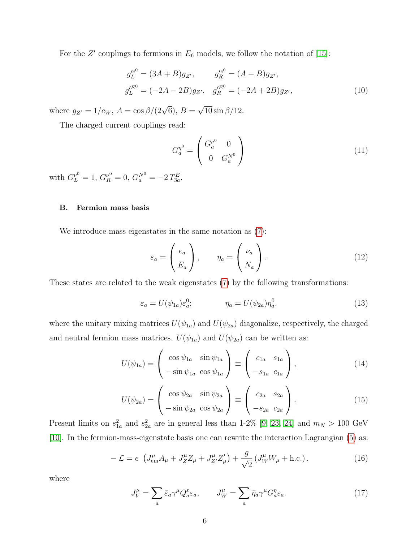For the Z' couplings to fermions in  $E_6$  models, we follow the notation of [\[15\]](#page-18-9):

$$
g_L^{\prime e^0} = (3A + B)g_{Z'}, \qquad g_R^{\prime e^0} = (A - B)g_{Z'}, g_L^{\prime E^0} = (-2A - 2B)g_{Z'}, \qquad g_R^{\prime E^0} = (-2A + 2B)g_{Z'},
$$
 (10)

where  $g_{Z'} = 1/c_W$ ,  $A = \cos \frac{\beta}{2\sqrt{6}}$ ,  $B =$ √  $10 \sin \frac{\beta}{12}$ .

The charged current couplings read:

<span id="page-5-0"></span>
$$
G_a^{\eta^0} = \begin{pmatrix} G_a^{\nu^0} & 0 \\ 0 & G_a^{\lambda^0} \end{pmatrix} \tag{11}
$$

with  $G_L^{\nu^0} = 1$ ,  $G_R^{\nu^0} = 0$ ,  $G_a^{N^0} = -2 T_{3a}^E$ .

### B. Fermion mass basis

We introduce mass eigenstates in the same notation as [\(7\)](#page-4-4):

$$
\varepsilon_a = \begin{pmatrix} e_a \\ E_a \end{pmatrix}, \qquad \eta_a = \begin{pmatrix} \nu_a \\ N_a \end{pmatrix}.
$$
 (12)

These states are related to the weak eigenstates [\(7\)](#page-4-4) by the following transformations:

$$
\varepsilon_a = U(\psi_{1a})\varepsilon_a^0; \qquad \eta_a = U(\psi_{2a})\eta_a^0, \qquad (13)
$$

where the unitary mixing matrices  $U(\psi_{1a})$  and  $U(\psi_{2a})$  diagonalize, respectively, the charged and neutral fermion mass matrices.  $U(\psi_{1a})$  and  $U(\psi_{2a})$  can be written as:

$$
U(\psi_{1a}) = \begin{pmatrix} \cos \psi_{1a} & \sin \psi_{1a} \\ -\sin \psi_{1a} & \cos \psi_{1a} \end{pmatrix} \equiv \begin{pmatrix} c_{1a} & s_{1a} \\ -s_{1a} & c_{1a} \end{pmatrix}, \qquad (14)
$$

$$
U(\psi_{2a}) = \begin{pmatrix} \cos \psi_{2a} & \sin \psi_{2a} \\ -\sin \psi_{2a} & \cos \psi_{2a} \end{pmatrix} \equiv \begin{pmatrix} c_{2a} & s_{2a} \\ -s_{2a} & c_{2a} \end{pmatrix}.
$$
 (15)

Present limits on  $s_{1a}^2$  and  $s_{2a}^2$  are in general less than 1-2% [\[9,](#page-18-4) [23,](#page-19-5) [24\]](#page-19-6) and  $m_N > 100 \text{ GeV}$ [\[10\]](#page-18-5). In the fermion-mass-eigenstate basis one can rewrite the interaction Lagrangian [\(5\)](#page-4-1) as:

<span id="page-5-1"></span>
$$
-\mathcal{L} = e \left( J_{em}^{\mu} A_{\mu} + J_{Z}^{\mu} Z_{\mu} + J_{Z'}^{\mu} Z_{\mu}' \right) + \frac{g}{\sqrt{2}} \left( J_{W}^{\mu} W_{\mu} + \text{h.c.} \right), \tag{16}
$$

where

<span id="page-5-2"></span>
$$
J_V^{\mu} = \sum_a \bar{\varepsilon}_a \gamma^{\mu} Q_a^{\varepsilon} \varepsilon_a, \qquad J_W^{\mu} = \sum_a \bar{\eta}_a \gamma^{\mu} G_a^{\eta} \varepsilon_a. \tag{17}
$$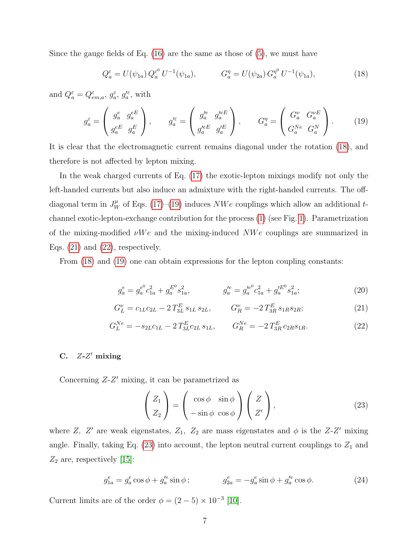Since the gauge fields of Eq.  $(16)$  are the same as those of  $(5)$ , we must have

<span id="page-6-0"></span>
$$
Q_a^{\varepsilon} = U(\psi_{1a}) Q_a^{\varepsilon^0} U^{-1}(\psi_{1a}), \qquad G_a^{\eta} = U(\psi_{2a}) G_a^{\eta^0} U^{-1}(\psi_{1a}), \qquad (18)
$$

and  $Q_a^{\varepsilon} = Q_{em,a}^{\varepsilon}, g_a^{\varepsilon}, g_a^{\prime \varepsilon}$ , with

<span id="page-6-1"></span>
$$
g_a^{\varepsilon} = \begin{pmatrix} g_a^e & g_a^{eE} \\ g_a^{eE} & g_a^E \end{pmatrix}, \qquad g_a^{\prime \varepsilon} = \begin{pmatrix} g_a^{\prime e} & g_a^{\prime eE} \\ g_a^{\prime eE} & g_a^{\prime E} \end{pmatrix}, \qquad G_a^{\eta} = \begin{pmatrix} G_a^{\nu} & G_a^{\nu E} \\ G_a^{\lambda e} & G_a^N \end{pmatrix}.
$$
 (19)

It is clear that the electromagnetic current remains diagonal under the rotation [\(18\)](#page-6-0), and therefore is not affected by lepton mixing.

In the weak charged currents of Eq. [\(17\)](#page-5-2) the exotic-lepton mixings modify not only the left-handed currents but also induce an admixture with the right-handed currents. The offdiagonal term in  $J_W^{\mu}$  of Eqs. [\(17\)](#page-5-2)–[\(19\)](#page-6-1) induces  $NWe$  couplings which allow an additional tchannel exotic-lepton-exchange contribution for the process [\(1\)](#page-1-0) (see Fig. [1\)](#page-7-1). Parametrization of the mixing-modified  $\nu We$  and the mixing-induced  $NWe$  couplings are summarized in Eqs.  $(21)$  and  $(22)$ , respectively.

From [\(18\)](#page-6-0) and [\(19\)](#page-6-1) one can obtain expressions for the lepton coupling constants:

<span id="page-6-5"></span>
$$
g_a^e = g_a^{e^0} c_{1a}^2 + g_a^{E^0} s_{1a}^2, \qquad g_a^{\prime e} = g_a^{\prime e^0} c_{1a}^2 + g_a^{\prime E^0} s_{1a}^2; \qquad (20)
$$

<span id="page-6-2"></span>
$$
G_L^{\nu} = c_{1L}c_{2L} - 2T_{3L}^E s_{1L} s_{2L}, \qquad G_R^{\nu} = -2T_{3R}^E s_{1R} s_{2R}; \qquad (21)
$$

<span id="page-6-3"></span>
$$
G_L^{Ne} = -s_{2L}c_{1L} - 2T_{3L}^E c_{2L} s_{1L}, \qquad G_R^{Ne} = -2T_{3R}^E c_{2R} s_{1R}.
$$
 (22)

## C.  $Z-Z'$  mixing

Concerning  $Z-Z'$  mixing, it can be parametrized as

<span id="page-6-4"></span>
$$
\begin{pmatrix} Z_1 \\ Z_2 \end{pmatrix} = \begin{pmatrix} \cos \phi & \sin \phi \\ -\sin \phi & \cos \phi \end{pmatrix} \begin{pmatrix} Z \\ Z' \end{pmatrix},
$$
 (23)

where Z, Z' are weak eigenstates,  $Z_1$ ,  $Z_2$  are mass eigenstates and  $\phi$  is the Z-Z' mixing angle. Finally, taking Eq.  $(23)$  into account, the lepton neutral current couplings to  $Z_1$  and  $Z_2$  are, respectively [\[15\]](#page-18-9):

<span id="page-6-6"></span>
$$
g_{1a}^e = g_a^e \cos \phi + g_a'^e \sin \phi ; \qquad \qquad g_{2a}^e = -g_a^e \sin \phi + g_a'^e \cos \phi . \tag{24}
$$

Current limits are of the order  $\phi = (2-5) \times 10^{-3}$  [\[10\]](#page-18-5).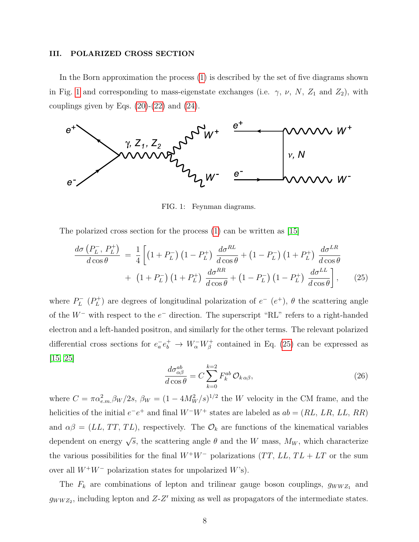#### <span id="page-7-0"></span>III. POLARIZED CROSS SECTION

In the Born approximation the process [\(1\)](#page-1-0) is described by the set of five diagrams shown in Fig. [1](#page-7-1) and corresponding to mass-eigenstate exchanges (i.e.  $\gamma$ ,  $\nu$ ,  $N$ ,  $Z_1$  and  $Z_2$ ), with couplings given by Eqs.  $(20)-(22)$  $(20)-(22)$  and  $(24)$ .



<span id="page-7-1"></span>FIG. 1: Feynman diagrams.

The polarized cross section for the process [\(1\)](#page-1-0) can be written as [\[15\]](#page-18-9)

<span id="page-7-2"></span>
$$
\frac{d\sigma\left(P_L^-, P_L^+\right)}{d\cos\theta} = \frac{1}{4} \left[ \left(1 + P_L^-\right) \left(1 - P_L^+\right) \frac{d\sigma^{RL}}{d\cos\theta} + \left(1 - P_L^-\right) \left(1 + P_L^+\right) \frac{d\sigma^{LR}}{d\cos\theta} + \left(1 + P_L^-\right) \left(1 + P_L^+\right) \frac{d\sigma^{RR}}{d\cos\theta} + \left(1 - P_L^-\right) \left(1 - P_L^+\right) \frac{d\sigma^{LL}}{d\cos\theta} \right], \tag{25}
$$

where  $P_L^ L^-(P_L^+)$  $L_L^{(+)}$ ) are degrees of longitudinal polarization of  $e^ (e^+)$ ,  $\theta$  the scattering angle of the  $W^-$  with respect to the  $e^-$  direction. The superscript "RL" refers to a right-handed electron and a left-handed positron, and similarly for the other terms. The relevant polarized differential cross sections for  $e_a^- e_b^+ \to W_\alpha^- W_\beta^+$  contained in Eq. [\(25\)](#page-7-2) can be expressed as [\[15,](#page-18-9) [25\]](#page-19-7)

<span id="page-7-3"></span>
$$
\frac{d\sigma_{\alpha\beta}^{ab}}{d\cos\theta} = C \sum_{k=0}^{k=2} F_k^{ab} \mathcal{O}_{k\alpha\beta},\tag{26}
$$

where  $C = \pi \alpha_{e.m.}^2 \beta_W/2s$ ,  $\beta_W = (1 - 4M_W^2/s)^{1/2}$  the W velocity in the CM frame, and the helicities of the initial  $e^-e^+$  and final  $W^-W^+$  states are labeled as  $ab = (RL, LR, LL, RR)$ and  $\alpha\beta = (LL, TT, TL)$ , respectively. The  $\mathcal{O}_k$  are functions of the kinematical variables dependent on energy  $\sqrt{s}$ , the scattering angle  $\theta$  and the W mass,  $M_W$ , which characterize the various possibilities for the final  $W^+W^-$  polarizations  $(TT, LL, TL + LT)$  or the sum over all  $W^+W^-$  polarization states for unpolarized W's).

The  $F_k$  are combinations of lepton and trilinear gauge boson couplings,  $g_{WWZ_1}$  and  $g_{WWZ_2}$ , including lepton and Z-Z' mixing as well as propagators of the intermediate states.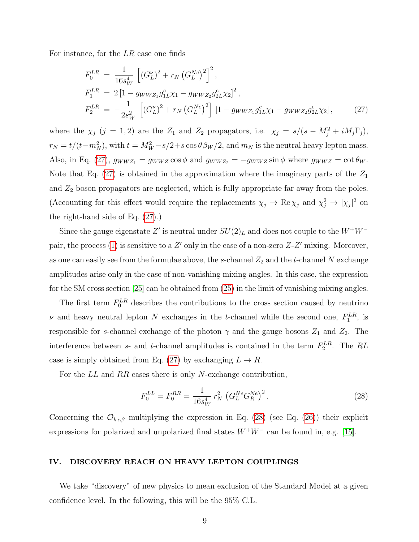For instance, for the LR case one finds

<span id="page-8-1"></span>
$$
F_0^{LR} = \frac{1}{16s_W^4} \left[ (G_L^{\nu})^2 + r_N \left( G_L^{Ne} \right)^2 \right]^2,
$$
  
\n
$$
F_1^{LR} = 2 \left[ 1 - g_{WWZ_1} g_{1L}^e \chi_1 - g_{WWZ_2} g_{2L}^e \chi_2 \right]^2,
$$
  
\n
$$
F_2^{LR} = -\frac{1}{2s_W^2} \left[ \left( G_L^{\nu} \right)^2 + r_N \left( G_L^{Ne} \right)^2 \right] \left[ 1 - g_{WWZ_1} g_{1L}^e \chi_1 - g_{WWZ_2} g_{2L}^e \chi_2 \right],
$$
\n(27)

where the  $\chi_j$  (j = 1, 2) are the  $Z_1$  and  $Z_2$  propagators, i.e.  $\chi_j = s/(s - M_j^2 + iM_j\Gamma_j)$ ,  $r_N = t/(t-m_N^2)$ , with  $t = M_W^2 - s/2 + s \cos \theta \beta_W/2$ , and  $m_N$  is the neutral heavy lepton mass. Also, in Eq. [\(27\)](#page-8-1),  $g_{WWZ_1} = g_{WWZ} \cos \phi$  and  $g_{WWZ_2} = -g_{WWZ} \sin \phi$  where  $g_{WWZ} = \cot \theta_W$ . Note that Eq.  $(27)$  is obtained in the approximation where the imaginary parts of the  $Z_1$ and  $Z_2$  boson propagators are neglected, which is fully appropriate far away from the poles. (Accounting for this effect would require the replacements  $\chi_j \to \text{Re}\,\chi_j$  and  $\chi_j^2 \to |\chi_j|^2$  on the right-hand side of Eq. [\(27\)](#page-8-1).)

Since the gauge eigenstate  $Z'$  is neutral under  $SU(2)_L$  and does not couple to the  $W^+W^-$ pair, the process [\(1\)](#page-1-0) is sensitive to a  $Z'$  only in the case of a non-zero  $Z-Z'$  mixing. Moreover, as one can easily see from the formulae above, the s-channel  $Z_2$  and the t-channel N exchange amplitudes arise only in the case of non-vanishing mixing angles. In this case, the expression for the SM cross section [\[25\]](#page-19-7) can be obtained from [\(25\)](#page-7-2) in the limit of vanishing mixing angles.

The first term  $F_0^{LR}$  describes the contributions to the cross section caused by neutrino  $\nu$  and heavy neutral lepton N exchanges in the t-channel while the second one,  $F_1^{LR}$ , is responsible for s-channel exchange of the photon  $\gamma$  and the gauge bosons  $Z_1$  and  $Z_2$ . The interference between s- and t-channel amplitudes is contained in the term  $F_2^{LR}$ . The RL case is simply obtained from Eq. [\(27\)](#page-8-1) by exchanging  $L \to R$ .

For the LL and RR cases there is only N-exchange contribution,

<span id="page-8-2"></span>
$$
F_0^{LL} = F_0^{RR} = \frac{1}{16s_W^4} r_N^2 \left( G_L^{Ne} G_R^{Ne} \right)^2.
$$
 (28)

Concerning the  $\mathcal{O}_{k \alpha \beta}$  multiplying the expression in Eq. [\(28\)](#page-8-2) (see Eq. [\(26\)](#page-7-3)) their explicit expressions for polarized and unpolarized final states  $W^+W^-$  can be found in, e.g. [\[15\]](#page-18-9).

#### <span id="page-8-0"></span>IV. DISCOVERY REACH ON HEAVY LEPTON COUPLINGS

We take "discovery" of new physics to mean exclusion of the Standard Model at a given confidence level. In the following, this will be the 95% C.L.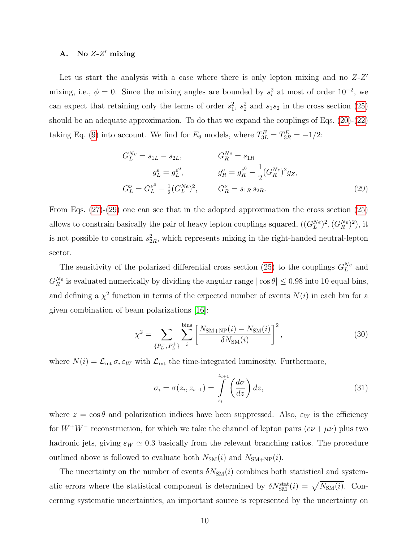## A. No  $Z-Z'$  mixing

Let us start the analysis with a case where there is only lepton mixing and no  $Z-Z'$ mixing, i.e.,  $\phi = 0$ . Since the mixing angles are bounded by  $s_i^2$  at most of order  $10^{-2}$ , we can expect that retaining only the terms of order  $s_1^2$ ,  $s_2^2$  and  $s_1s_2$  in the cross section [\(25\)](#page-7-2) should be an adequate approximation. To do that we expand the couplings of Eqs. [\(20\)](#page-6-5)-[\(22\)](#page-6-3) taking Eq. [\(9\)](#page-4-5) into account. We find for  $E_6$  models, where  $T_{3L}^E = T_{3R}^E = -1/2$ :

<span id="page-9-0"></span>
$$
G_L^{Ne} = s_{1L} - s_{2L}, \t G_R^{Ne} = s_{1R}
$$
  
\n
$$
g_L^e = g_L^{e^0}, \t g_R^e = g_R^{e^0} - \frac{1}{2} (G_R^{Ne})^2 g_Z,
$$
  
\n
$$
G_L^{\nu} = G_L^{\nu^0} - \frac{1}{2} (G_L^{Ne})^2, \t G_R^{\nu} = s_{1R} s_{2R}.
$$
\n(29)

From Eqs. [\(27\)](#page-8-1)-[\(29\)](#page-9-0) one can see that in the adopted approximation the cross section [\(25\)](#page-7-2) allows to constrain basically the pair of heavy lepton couplings squared,  $((G_L^{Ne})^2, (G_R^{Ne})^2)$ , it is not possible to constrain  $s_{2R}^2$ , which represents mixing in the right-handed neutral-lepton sector.

The sensitivity of the polarized differential cross section [\(25\)](#page-7-2) to the couplings  $G_L^{Ne}$  and  $G_R^{Ne}$  is evaluated numerically by dividing the angular range  $|\cos \theta| \leq 0.98$  into 10 equal bins, and defining a  $\chi^2$  function in terms of the expected number of events  $N(i)$  in each bin for a given combination of beam polarizations [\[16\]](#page-18-10):

$$
\chi^2 = \sum_{\{P_L^-, P_L^+\}} \sum_{i}^{\text{bins}} \left[ \frac{N_{\text{SM+NP}}(i) - N_{\text{SM}}(i)}{\delta N_{\text{SM}}(i)} \right]^2,\tag{30}
$$

where  $N(i) = \mathcal{L}_{int} \sigma_i \varepsilon_W$  with  $\mathcal{L}_{int}$  the time-integrated luminosity. Furthermore,

$$
\sigma_i = \sigma(z_i, z_{i+1}) = \int_{z_i}^{z_{i+1}} \left(\frac{d\sigma}{dz}\right) dz,
$$
\n(31)

where  $z = \cos \theta$  and polarization indices have been suppressed. Also,  $\varepsilon_W$  is the efficiency for  $W^+W^-$  reconstruction, for which we take the channel of lepton pairs  $(e\nu + \mu\nu)$  plus two hadronic jets, giving  $\varepsilon_W \simeq 0.3$  basically from the relevant branching ratios. The procedure outlined above is followed to evaluate both  $N_{SM}(i)$  and  $N_{SM+NP}(i)$ .

The uncertainty on the number of events  $\delta N_{\rm SM}(i)$  combines both statistical and systematic errors where the statistical component is determined by  $\delta N_{\rm SM}^{\rm stat}(i) = \sqrt{N_{\rm SM}(i)}$ . Concerning systematic uncertainties, an important source is represented by the uncertainty on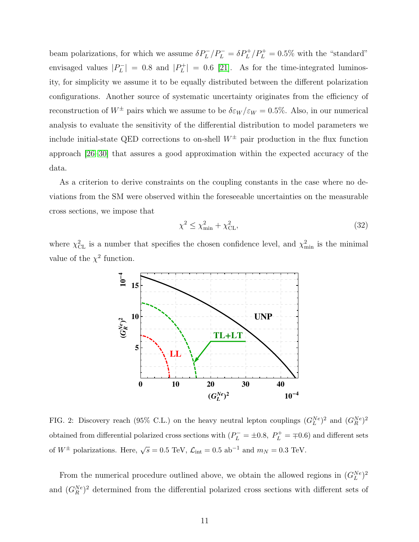beam polarizations, for which we assume  $\delta P_L^-/P_L^- = \delta P_L^+/P_L^+ = 0.5\%$  with the "standard" envisaged values  $|P_L|$  $|P_L^-| = 0.8$  and  $|P_L^+|$  $|L_L| = 0.6$  [\[21\]](#page-19-2). As for the time-integrated luminosity, for simplicity we assume it to be equally distributed between the different polarization configurations. Another source of systematic uncertainty originates from the efficiency of reconstruction of  $W^{\pm}$  pairs which we assume to be  $\delta \varepsilon_W / \varepsilon_W = 0.5\%$ . Also, in our numerical analysis to evaluate the sensitivity of the differential distribution to model parameters we include initial-state QED corrections to on-shell  $W^{\pm}$  pair production in the flux function approach [\[26](#page-19-8)[–30\]](#page-19-9) that assures a good approximation within the expected accuracy of the data.

As a criterion to derive constraints on the coupling constants in the case where no deviations from the SM were observed within the foreseeable uncertainties on the measurable cross sections, we impose that

<span id="page-10-1"></span>
$$
\chi^2 \le \chi^2_{\text{min}} + \chi^2_{\text{CL}},\tag{32}
$$

where  $\chi^2_{CL}$  is a number that specifies the chosen confidence level, and  $\chi^2_{min}$  is the minimal value of the  $\chi^2$  function.



<span id="page-10-0"></span>FIG. 2: Discovery reach (95% C.L.) on the heavy neutral lepton couplings  $(G_L^{Ne})^2$  and  $(G_R^{Ne})^2$ obtained from differential polarized cross sections with  $(P_L^- = \pm 0.8, P_L^+ = \mp 0.6)$  and different sets of  $W^{\pm}$  polarizations. Here,  $\sqrt{s} = 0.5$  TeV,  $\mathcal{L}_{int} = 0.5$  ab<sup>-1</sup> and  $m_N = 0.3$  TeV.

From the numerical procedure outlined above, we obtain the allowed regions in  $(G_L^{Ne})^2$ and  $(G_R^{Ne})^2$  determined from the differential polarized cross sections with different sets of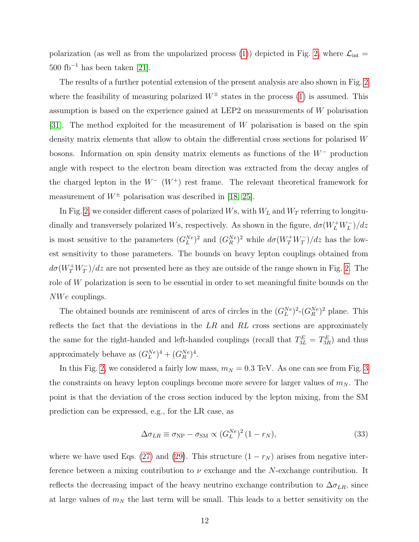polarization (as well as from the unpolarized process [\(1\)](#page-1-0)) depicted in Fig. [2,](#page-10-0) where  $\mathcal{L}_{int}$  =  $500 \text{ fb}^{-1}$  has been taken [\[21\]](#page-19-2).

The results of a further potential extension of the present analysis are also shown in Fig. [2](#page-10-0) where the feasibility of measuring polarized  $W^{\pm}$  states in the process [\(1\)](#page-1-0) is assumed. This assumption is based on the experience gained at LEP2 on measurements of W polarisation [\[31\]](#page-19-10). The method exploited for the measurement of  $W$  polarisation is based on the spin density matrix elements that allow to obtain the differential cross sections for polarised W bosons. Information on spin density matrix elements as functions of the W<sup>−</sup> production angle with respect to the electron beam direction was extracted from the decay angles of the charged lepton in the  $W^-$  ( $W^+$ ) rest frame. The relevant theoretical framework for measurement of  $W^{\pm}$  polarisation was described in [\[18,](#page-19-0) [25\]](#page-19-7).

In Fig. [2,](#page-10-0) we consider different cases of polarized  $W$ s, with  $W_L$  and  $W_T$  referring to longitudinally and transversely polarized Ws, respectively. As shown in the figure,  $d\sigma(W^+_LW^-_L)/dz$ is most sensitive to the parameters  $(G_L^{Ne})^2$  and  $(G_R^{Ne})^2$  while  $d\sigma(W_T^+W_T^-)/dz$  has the lowest sensitivity to those parameters. The bounds on heavy lepton couplings obtained from  $d\sigma(W_T^+W_T^-)/dz$  are not presented here as they are outside of the range shown in Fig. [2.](#page-10-0) The role of W polarization is seen to be essential in order to set meaningful finite bounds on the  $NWe$  couplings.

The obtained bounds are reminiscent of arcs of circles in the  $(G_L^{Ne})^2-(G_R^{Ne})^2$  plane. This reflects the fact that the deviations in the  $LR$  and  $RL$  cross sections are approximately the same for the right-handed and left-handed couplings (recall that  $T_{3L}^E = T_{3R}^E$ ) and thus approximately behave as  $(G_L^{Ne})^4 + (G_R^{Ne})^4$ .

In this Fig. [2,](#page-10-0) we considered a fairly low mass,  $m_N = 0.3$  TeV. As one can see from Fig. [3](#page-12-0) the constraints on heavy lepton couplings become more severe for larger values of  $m<sub>N</sub>$ . The point is that the deviation of the cross section induced by the lepton mixing, from the SM prediction can be expressed, e.g., for the LR case, as

$$
\Delta \sigma_{LR} \equiv \sigma_{\rm NP} - \sigma_{\rm SM} \propto (G_L^{Ne})^2 (1 - r_N), \tag{33}
$$

where we have used Eqs. [\(27\)](#page-8-1) and [\(29\)](#page-9-0). This structure  $(1 - r_N)$  arises from negative interference between a mixing contribution to  $\nu$  exchange and the N-exchange contribution. It reflects the decreasing impact of the heavy neutrino exchange contribution to  $\Delta \sigma_{LR}$ , since at large values of  $m<sub>N</sub>$  the last term will be small. This leads to a better sensitivity on the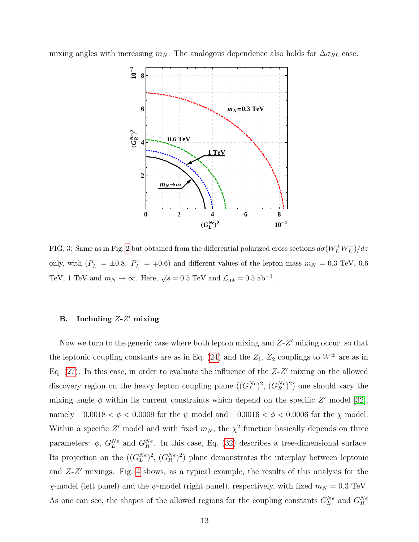mixing angles with increasing  $m_N$ . The analogous dependence also holds for  $\Delta \sigma_{RL}$  case.



<span id="page-12-0"></span>FIG. 3: Same as in Fig. [2](#page-10-0) but obtained from the differential polarized cross sections  $d\sigma(W_L^+W_L^-)/dz$ only, with  $(P_L^- = \pm 0.8, P_L^+ = \mp 0.6)$  and different values of the lepton mass  $m_N = 0.3$  TeV, 0.6 TeV, 1 TeV and  $m_N \to \infty$ . Here,  $\sqrt{s} = 0.5$  TeV and  $\mathcal{L}_{int} = 0.5$  ab<sup>-1</sup>.

## B. Including  $Z-Z'$  mixing

Now we turn to the generic case where both lepton mixing and  $Z-Z'$  mixing occur, so that the leptonic coupling constants are as in Eq. [\(24\)](#page-6-6) and the  $Z_1$ ,  $Z_2$  couplings to  $W^{\pm}$  are as in Eq.  $(27)$ . In this case, in order to evaluate the influence of the  $Z-Z'$  mixing on the allowed discovery region on the heavy lepton coupling plane  $((G_L^{Ne})^2, (G_R^{Ne})^2)$  one should vary the mixing angle  $\phi$  within its current constraints which depend on the specific Z' model [\[32\]](#page-19-11), namely  $-0.0018 < \phi < 0.0009$  for the  $\psi$  model and  $-0.0016 < \phi < 0.0006$  for the  $\chi$  model. Within a specific Z' model and with fixed  $m_N$ , the  $\chi^2$  function basically depends on three parameters:  $\phi$ ,  $G_L^{Ne}$  and  $G_R^{Ne}$ . In this case, Eq. [\(32\)](#page-10-1) describes a tree-dimensional surface. Its projection on the  $((G_L^{Ne})^2, (G_R^{Ne})^2)$  plane demonstrates the interplay between leptonic and  $Z-Z'$  mixings. Fig. [4](#page-13-0) shows, as a typical example, the results of this analysis for the  $\chi$ -model (left panel) and the  $\psi$ -model (right panel), respectively, with fixed  $m_N = 0.3$  TeV. As one can see, the shapes of the allowed regions for the coupling constants  $G_L^{Ne}$  and  $G_R^{Ne}$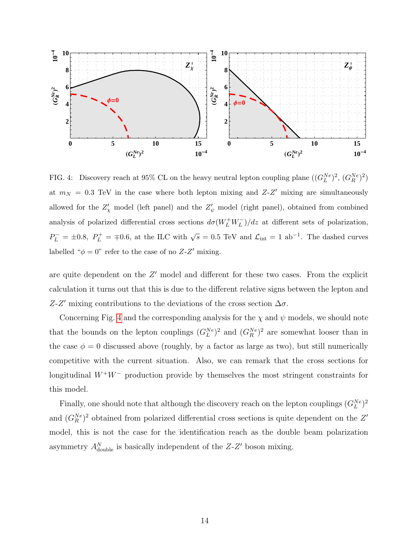

<span id="page-13-0"></span>FIG. 4: Discovery reach at 95% CL on the heavy neutral lepton coupling plane  $((G_L^{Ne})^2, (G_R^{Ne})^2)$ at  $m_N = 0.3$  TeV in the case where both lepton mixing and  $Z-Z'$  mixing are simultaneously allowed for the  $Z'_{\chi}$  model (left panel) and the  $Z'_{\psi}$  model (right panel), obtained from combined analysis of polarized differential cross sections  $d\sigma(W_L^+W_L^-)/dz$  at different sets of polarization,  $P_L^- = \pm 0.8$ ,  $P_L^+ = \mp 0.6$ , at the ILC with  $\sqrt{s} = 0.5$  TeV and  $\mathcal{L}_{int} = 1$  ab<sup>-1</sup>. The dashed curves labelled " $\phi = 0$ " refer to the case of no Z-Z' mixing.

are quite dependent on the  $Z'$  model and different for these two cases. From the explicit calculation it turns out that this is due to the different relative signs between the lepton and Z-Z' mixing contributions to the deviations of the cross section  $\Delta \sigma$ .

Concerning Fig. [4](#page-13-0) and the corresponding analysis for the  $\chi$  and  $\psi$  models, we should note that the bounds on the lepton couplings  $(G_L^{Ne})^2$  and  $(G_R^{Ne})^2$  are somewhat looser than in the case  $\phi = 0$  discussed above (roughly, by a factor as large as two), but still numerically competitive with the current situation. Also, we can remark that the cross sections for longitudinal W<sup>+</sup>W<sup>−</sup> production provide by themselves the most stringent constraints for this model.

Finally, one should note that although the discovery reach on the lepton couplings  $(G_L^{Ne})^2$ and  $(G_R^{Ne})^2$  obtained from polarized differential cross sections is quite dependent on the Z' model, this is not the case for the identification reach as the double beam polarization asymmetry  $A_{\text{double}}^N$  is basically independent of the  $Z-Z'$  boson mixing.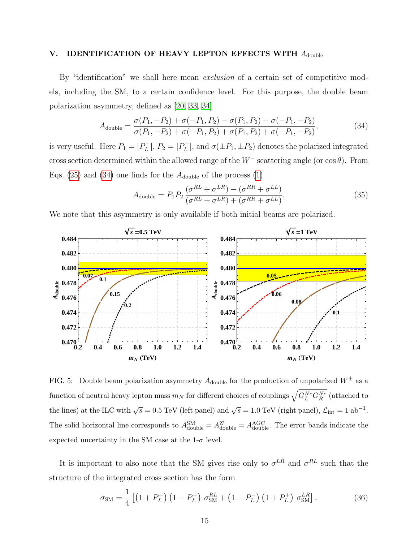## <span id="page-14-0"></span>V. IDENTIFICATION OF HEAVY LEPTON EFFECTS WITH  $A_{\text{double}}$

By "identification" we shall here mean *exclusion* of a certain set of competitive models, including the SM, to a certain confidence level. For this purpose, the double beam polarization asymmetry, defined as [\[20,](#page-19-4) [33,](#page-19-12) [34\]](#page-19-13)

<span id="page-14-1"></span>
$$
A_{\text{double}} = \frac{\sigma(P_1, -P_2) + \sigma(-P_1, P_2) - \sigma(P_1, P_2) - \sigma(-P_1, -P_2)}{\sigma(P_1, -P_2) + \sigma(-P_1, P_2) + \sigma(P_1, P_2) + \sigma(-P_1, -P_2)},
$$
\n(34)

is very useful. Here  $P_1 = |P_L^-|$  $P_L^-$ ,  $P_2 = |P_L^+|$  $|L_L|$ , and  $\sigma(\pm P_1, \pm P_2)$  denotes the polarized integrated cross section determined within the allowed range of the  $W^-$  scattering angle (or cos  $\theta$ ). From Eqs. [\(25\)](#page-7-2) and [\(34\)](#page-14-1) one finds for the  $A_{\text{double}}$  of the process [\(1\)](#page-1-0)

$$
A_{\text{double}} = P_1 P_2 \frac{(\sigma^{RL} + \sigma^{LR}) - (\sigma^{RR} + \sigma^{LL})}{(\sigma^{RL} + \sigma^{LR}) + (\sigma^{RR} + \sigma^{LL})}.
$$
\n(35)

We note that this asymmetry is only available if both initial beams are polarized.



<span id="page-14-3"></span>FIG. 5: Double beam polarization asymmetry  $A_{\text{double}}$  for the production of unpolarized  $W^{\pm}$  as a function of neutral heavy lepton mass  $m_N$  for different choices of couplings  $\sqrt{G_L^{Ne}G_R^{Ne}}$  (attached to the lines) at the ILC with  $\sqrt{s} = 0.5$  TeV (left panel) and  $\sqrt{s} = 1.0$  TeV (right panel),  $\mathcal{L}_{int} = 1$  ab<sup>-1</sup>. The solid horizontal line corresponds to  $A_{\text{double}}^{\text{SM}} = A_{\text{double}}^{\text{Z'}} = A_{\text{double}}^{\text{AGC}}$ . The error bands indicate the expected uncertainty in the SM case at the  $1-\sigma$  level.

It is important to also note that the SM gives rise only to  $\sigma^{LR}$  and  $\sigma^{RL}$  such that the structure of the integrated cross section has the form

<span id="page-14-2"></span>
$$
\sigma_{\rm SM} = \frac{1}{4} \left[ \left( 1 + P_L^- \right) \left( 1 - P_L^+ \right) \sigma_{\rm SM}^{RL} + \left( 1 - P_L^- \right) \left( 1 + P_L^+ \right) \sigma_{\rm SM}^{LR} \right]. \tag{36}
$$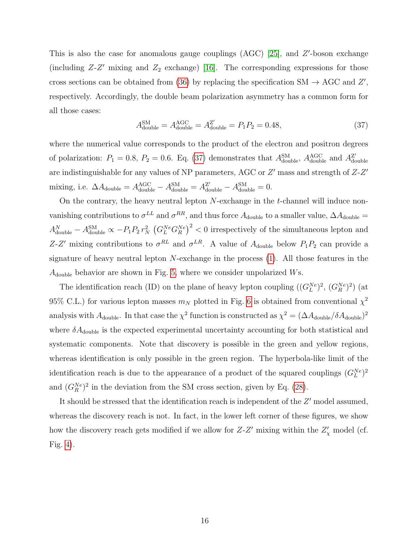This is also the case for anomalous gauge couplings  $(AGC)$  [\[25\]](#page-19-7), and  $Z'$ -boson exchange (including  $Z-Z'$  mixing and  $Z_2$  exchange) [\[16\]](#page-18-10). The corresponding expressions for those cross sections can be obtained from [\(36\)](#page-14-2) by replacing the specification  $SM \rightarrow AGC$  and  $Z'$ , respectively. Accordingly, the double beam polarization asymmetry has a common form for all those cases:

<span id="page-15-0"></span>
$$
A_{\text{double}}^{\text{SM}} = A_{\text{double}}^{\text{AGC}} = A_{\text{double}}^{\text{Z}'} = P_1 P_2 = 0.48,\tag{37}
$$

where the numerical value corresponds to the product of the electron and positron degrees of polarization:  $P_1 = 0.8$ ,  $P_2 = 0.6$ . Eq. [\(37\)](#page-15-0) demonstrates that  $A_{\text{double}}^{\text{SM}}$ ,  $A_{\text{double}}^{\text{AGC}}$  and  $A_{\text{dc}}^{\text{Z'}}$ double are indistinguishable for any values of NP parameters, AGC or  $Z'$  mass and strength of  $Z$ - $Z'$ mixing, i.e.  $\Delta A_{\text{double}} = A_{\text{double}}^{\text{AGC}} - A_{\text{double}}^{\text{SM}} = A_{\text{double}}^{\text{Z'}} - A_{\text{double}}^{\text{SM}} = 0.$ 

On the contrary, the heavy neutral lepton  $N$ -exchange in the  $t$ -channel will induce nonvanishing contributions to  $\sigma^{LL}$  and  $\sigma^{RR}$ , and thus force  $A_{\text{double}}$  to a smaller value,  $\Delta A_{\text{double}} =$  $A_{\text{double}}^N - A_{\text{double}}^{\text{SM}} \propto -P_1 P_2 r_N^2 \left( G_L^{Ne} G_R^{Ne} \right)^2 < 0$  irrespectively of the simultaneous lepton and Z-Z' mixing contributions to  $\sigma^{RL}$  and  $\sigma^{LR}$ . A value of  $A_{\text{double}}$  below  $P_1P_2$  can provide a signature of heavy neutral lepton  $N$ -exchange in the process  $(1)$ . All those features in the  $A_{\text{double}}$  behavior are shown in Fig. [5,](#page-14-3) where we consider unpolarized Ws.

The identification reach (ID) on the plane of heavy lepton coupling  $((G_L^{Ne})^2, (G_R^{Ne})^2)$  (at 95% C.L.) for various lepton masses  $m_N$  plotted in Fig. [6](#page-16-1) is obtained from conventional  $\chi^2$ analysis with  $A_{\text{double}}$ . In that case the  $\chi^2$  function is constructed as  $\chi^2 = (\Delta A_{\text{double}}/\delta A_{\text{double}})^2$ where  $\delta A_{\text{double}}$  is the expected experimental uncertainty accounting for both statistical and systematic components. Note that discovery is possible in the green and yellow regions, whereas identification is only possible in the green region. The hyperbola-like limit of the identification reach is due to the appearance of a product of the squared couplings  $(G_L^{Ne})^2$ and  $(G_R^{Ne})^2$  in the deviation from the SM cross section, given by Eq. [\(28\)](#page-8-2).

It should be stressed that the identification reach is independent of the  $Z'$  model assumed, whereas the discovery reach is not. In fact, in the lower left corner of these figures, we show how the discovery reach gets modified if we allow for  $Z-Z'$  mixing within the  $Z'_{\chi}$  model (cf. Fig. [4\)](#page-13-0).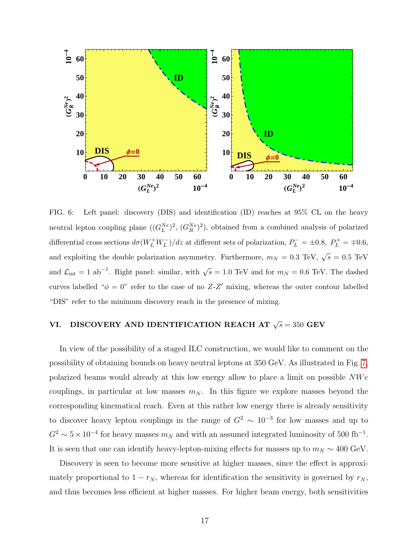

<span id="page-16-1"></span>FIG. 6: Left panel: discovery (DIS) and identification (ID) reaches at 95% CL on the heavy neutral lepton coupling plane  $((G_L^{Ne})^2, (G_R^{Ne})^2)$ , obtained from a combined analysis of polarized differential cross sections  $d\sigma(W_L^+W_L^-)/dz$  at different sets of polarization,  $P_L^- = \pm 0.8$ ,  $P_L^+ = \mp 0.6$ , and exploiting the double polarization asymmetry. Furthermore,  $m_N = 0.3 \text{ TeV}$ ,  $\sqrt{s} = 0.5 \text{ TeV}$ and  $\mathcal{L}_{\text{int}} = 1$  ab<sup>-1</sup>. Right panel: similar, with  $\sqrt{s} = 1.0$  TeV and for  $m_N = 0.6$  TeV. The dashed curves labelled " $\phi = 0$ " refer to the case of no Z-Z' mixing, whereas the outer contour labelled "DIS" refer to the minimum discovery reach in the presence of mixing.

## <span id="page-16-0"></span>VI. DISCOVERY AND IDENTIFICATION REACH AT  $\sqrt{s} = 350$  GEV

In view of the possibility of a staged ILC construction, we would like to comment on the possibility of obtaining bounds on heavy neutral leptons at 350 GeV. As illustrated in Fig. [7,](#page-17-1) polarized beams would already at this low energy allow to place a limit on possible  $NWe$ couplings, in particular at low masses  $m_N$ . In this figure we explore masses beyond the corresponding kinematical reach. Even at this rather low energy there is already sensitivity to discover heavy lepton couplings in the range of  $G^2 \sim 10^{-3}$  for low masses and up to  $G^2 \sim 5 \times 10^{-4}$  for heavy masses  $m_N$  and with an assumed integrated luminosity of 500 fb<sup>-1</sup>. It is seen that one can identify heavy-lepton-mixing effects for masses up to  $m_N \sim 400 \text{ GeV}$ .

Discovery is seen to become more sensitive at higher masses, since the effect is approximately proportional to  $1 - r_N$ , whereas for identification the sensitivity is governed by  $r_N$ , and thus becomes less efficient at higher masses. For higher beam energy, both sensitivities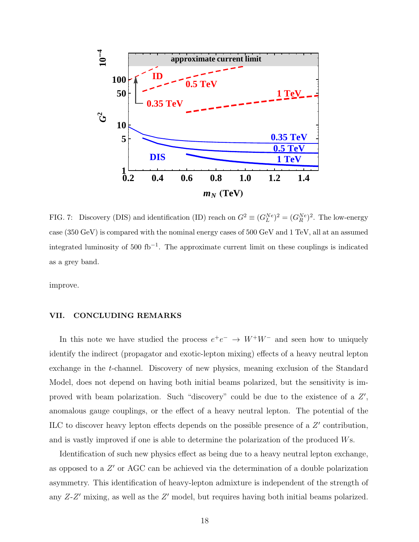

<span id="page-17-1"></span>FIG. 7: Discovery (DIS) and identification (ID) reach on  $G^2 \equiv (G_L^{Ne})^2 = (G_R^{Ne})^2$ . The low-energy case (350 GeV) is compared with the nominal energy cases of 500 GeV and 1 TeV, all at an assumed integrated luminosity of 500 fb<sup>-1</sup>. The approximate current limit on these couplings is indicated as a grey band.

improve.

#### <span id="page-17-0"></span>VII. CONCLUDING REMARKS

In this note we have studied the process  $e^+e^- \rightarrow W^+W^-$  and seen how to uniquely identify the indirect (propagator and exotic-lepton mixing) effects of a heavy neutral lepton exchange in the t-channel. Discovery of new physics, meaning exclusion of the Standard Model, does not depend on having both initial beams polarized, but the sensitivity is improved with beam polarization. Such "discovery" could be due to the existence of a  $Z'$ , anomalous gauge couplings, or the effect of a heavy neutral lepton. The potential of the ILC to discover heavy lepton effects depends on the possible presence of a  $Z'$  contribution, and is vastly improved if one is able to determine the polarization of the produced Ws.

Identification of such new physics effect as being due to a heavy neutral lepton exchange, as opposed to a  $Z'$  or AGC can be achieved via the determination of a double polarization asymmetry. This identification of heavy-lepton admixture is independent of the strength of any  $Z-Z'$  mixing, as well as the  $Z'$  model, but requires having both initial beams polarized.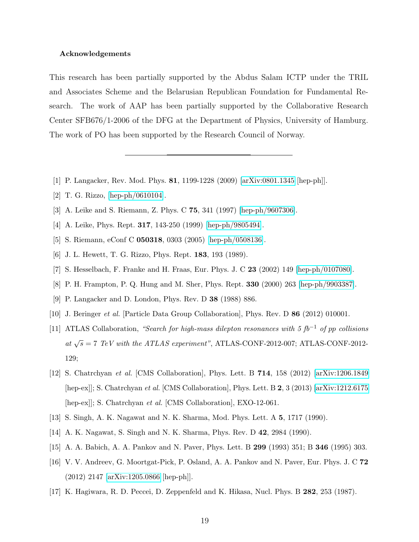#### Acknowledgements

This research has been partially supported by the Abdus Salam ICTP under the TRIL and Associates Scheme and the Belarusian Republican Foundation for Fundamental Research. The work of AAP has been partially supported by the Collaborative Research Center SFB676/1-2006 of the DFG at the Department of Physics, University of Hamburg. The work of PO has been supported by the Research Council of Norway.

- <span id="page-18-0"></span>[1] P. Langacker, Rev. Mod. Phys. 81, 1199-1228 (2009) [\[arXiv:0801.1345](http://arxiv.org/abs/0801.1345) [hep-ph]].
- [2] T. G. Rizzo, [\[hep-ph/0610104\]](http://arxiv.org/abs/hep-ph/0610104).
- [3] A. Leike and S. Riemann, Z. Phys. C 75, 341 (1997) [\[hep-ph/9607306\]](http://arxiv.org/abs/hep-ph/9607306).
- [4] A. Leike, Phys. Rept. 317, 143-250 (1999) [\[hep-ph/9805494\]](http://arxiv.org/abs/hep-ph/9805494).
- <span id="page-18-1"></span>[5] S. Riemann, eConf C 050318, 0303 (2005) [\[hep-ph/0508136\]](http://arxiv.org/abs/hep-ph/0508136).
- <span id="page-18-2"></span>[6] J. L. Hewett, T. G. Rizzo, Phys. Rept. 183, 193 (1989).
- <span id="page-18-3"></span>[7] S. Hesselbach, F. Franke and H. Fraas, Eur. Phys. J. C 23 (2002) 149 [\[hep-ph/0107080\]](http://arxiv.org/abs/hep-ph/0107080).
- <span id="page-18-4"></span>[8] P. H. Frampton, P. Q. Hung and M. Sher, Phys. Rept. 330 (2000) 263 [\[hep-ph/9903387\]](http://arxiv.org/abs/hep-ph/9903387).
- <span id="page-18-5"></span>[9] P. Langacker and D. London, Phys. Rev. D 38 (1988) 886.
- <span id="page-18-6"></span>[10] J. Beringer *et al.* [Particle Data Group Collaboration], Phys. Rev. D 86 (2012) 010001.
- [11] ATLAS Collaboration, "Search for high-mass dilepton resonances with 5 fb<sup>-1</sup> of pp collisions at  $\sqrt{s} = 7$  TeV with the ATLAS experiment", ATLAS-CONF-2012-007; ATLAS-CONF-2012-129;
- <span id="page-18-7"></span>[12] S. Chatrchyan et al. [CMS Collaboration], Phys. Lett. B 714, 158 (2012) [\[arXiv:1206.1849](http://arxiv.org/abs/1206.1849) [hep-ex]]; S. Chatrchyan et al. [CMS Collaboration], Phys. Lett. B 2, 3 (2013) [\[arXiv:1212.6175](http://arxiv.org/abs/1212.6175) [hep-ex]]; S. Chatrchyan *et al.* [CMS Collaboration], EXO-12-061.
- <span id="page-18-8"></span>[13] S. Singh, A. K. Nagawat and N. K. Sharma, Mod. Phys. Lett. A 5, 1717 (1990).
- <span id="page-18-9"></span>[14] A. K. Nagawat, S. Singh and N. K. Sharma, Phys. Rev. D 42, 2984 (1990).
- <span id="page-18-10"></span>[15] A. A. Babich, A. A. Pankov and N. Paver, Phys. Lett. B 299 (1993) 351; B 346 (1995) 303.
- [16] V. V. Andreev, G. Moortgat-Pick, P. Osland, A. A. Pankov and N. Paver, Eur. Phys. J. C 72 (2012) 2147 [\[arXiv:1205.0866](http://arxiv.org/abs/1205.0866) [hep-ph]].
- <span id="page-18-11"></span>[17] K. Hagiwara, R. D. Peccei, D. Zeppenfeld and K. Hikasa, Nucl. Phys. B 282, 253 (1987).